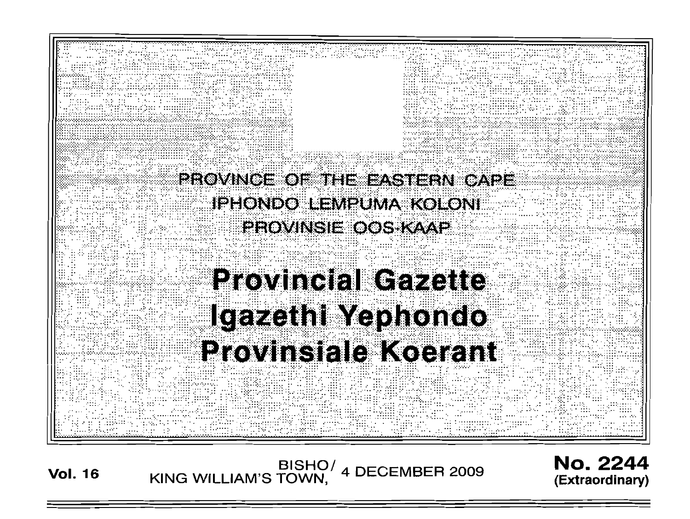

**Vol. 16** KING WILLIAM'S TOWN, 4 DECEMBER 2009

No. 2244 **(Extraordinary)**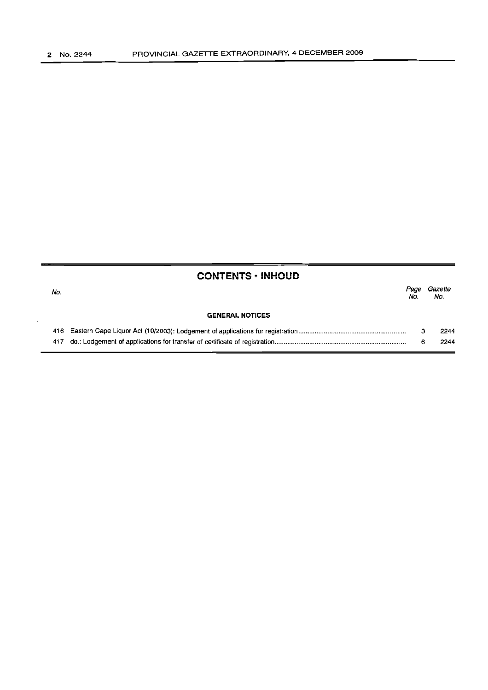|     | <b>CONTENTS · INHOUD</b> |             |                |
|-----|--------------------------|-------------|----------------|
| No. |                          | Page<br>No. | Gazette<br>No. |
|     | <b>GENERAL NOTICES</b>   |             |                |
|     |                          |             | 2244           |
|     |                          |             | 2244           |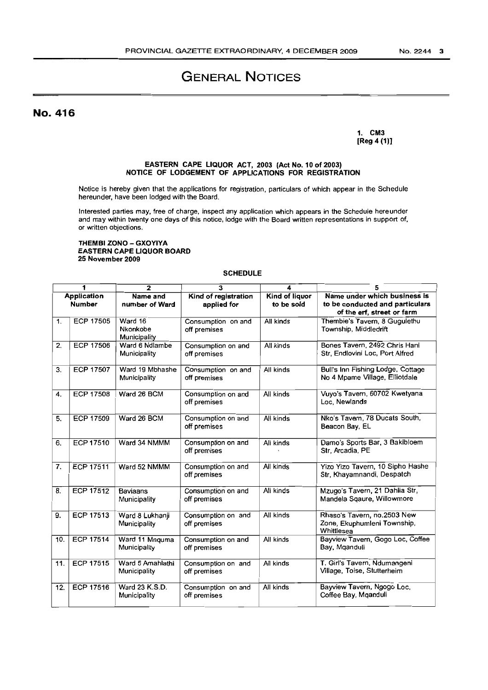# GENERAL NOTICES

No. 416

#### 1. CM3 [Reg 4 (1)]

#### EASTERN CAPE LIQUOR ACT, 2003 (Act No. 10 of 2003) NOTICE OF LODGEMENT OF APPLICATIONS FOR REGISTRATION

Notice is hereby given that the applications for registration, particulars of which appear in the Schedule hereunder, have been lodged with the Board.

Interested parties may, free of charge, inspect any application which appears in the Schedule hereunder and may within twenty one days of this notice, lodge with the Board written representations in support of, or written objections.

#### THEMBI ZONO - GXOYIYA EASTERN CAPE LIQUOR BOARD 25 November 2009

### SCHEDULE

| 1                                   |                  | $\overline{2}$                      | 3                                   | 4                                   | 5                                                                                             |
|-------------------------------------|------------------|-------------------------------------|-------------------------------------|-------------------------------------|-----------------------------------------------------------------------------------------------|
| <b>Application</b><br><b>Number</b> |                  | Name and<br>number of Ward          | Kind of registration<br>applied for | <b>Kind of liquor</b><br>to be sold | Name under which business is<br>to be conducted and particulars<br>of the erf, street or farm |
| 1 <sub>1</sub>                      | <b>ECP 17505</b> | Ward 16<br>Nkonkobe<br>Municipality | Consumption on and<br>off premises  | All kinds                           | Thembie's Tavern, 8 Gugulethu<br>Township, Middledrift                                        |
| 2.                                  | <b>ECP 17506</b> | Ward 6 Ndlambe<br>Municipality      | Consumption on and<br>off premises  | All kinds                           | Bones Tavern, 2492 Chris Hani<br>Str. Endlovini Loc. Port Alfred                              |
| 3.                                  | <b>ECP 17507</b> | Ward 19 Mbhashe<br>Municipality     | Consumption on and<br>off premises  | All kinds                           | Bull's Inn Fishing Lodge, Cottage<br>No 4 Mpame Village, Elliotdale                           |
| 4.                                  | <b>ECP 17508</b> | Ward 26 BCM                         | Consumption on and<br>off premises  | All kinds                           | Vuyo's Tavern, 60702 Kwetyana<br>Loc. Newlands                                                |
| 5.                                  | <b>ECP 17509</b> | Ward 26 BCM                         | Consumption on and<br>off premises  | All kinds                           | Nko's Tavern, 78 Ducats South,<br>Beacon Bay, EL                                              |
| 6.                                  | <b>ECP 17510</b> | Ward 34 NMMM                        | Consumption on and<br>off premises  | All kinds                           | Damo's Sports Bar, 3 Bakibloem<br>Str, Arcadia, PE                                            |
| 7.                                  | <b>ECP 17511</b> | Ward 52 NMMM                        | Consumption on and<br>off premises  | All kinds                           | Yizo Yizo Tavern, 10 Sipho Hashe<br>Str, Khayamnandi, Despatch                                |
| 8.                                  | <b>ECP 17512</b> | <b>Baviaans</b><br>Municipality     | Consumption on and<br>off premises  | All kinds                           | Mzugo's Tavern, 21 Dahlia Str,<br>Mandela Sqaure, Willowmore                                  |
| 9.                                  | <b>ECP 17513</b> | Ward 8 Lukhanji<br>Municipality     | Consumption on and<br>off premises  | All kinds                           | Rhaso's Tavern, no.2503 New<br>Zone, Ekuphumleni Township,<br>Whittlesea                      |
| 10.                                 | <b>ECP 17514</b> | Ward 11 Mnquma<br>Municipality      | Consumption on and<br>off premises  | All kinds                           | Bayview Tavern, Gogo Loc, Coffee<br>Bay, Mganduli                                             |
| 11.                                 | <b>ECP 17515</b> | Ward 5 Amahlathi<br>Municipality    | Consumption on and<br>off premises  | All kinds                           | T. Girl's Tavern, Ndumangeni<br>Village, Toise, Stutterheim                                   |
| 12.                                 | <b>ECP 17516</b> | Ward 23 K.S.D.<br>Municipality      | Consumption on and<br>off premises  | All kinds                           | Bayview Tavern, Ngogo Loc,<br>Coffee Bay, Mganduli                                            |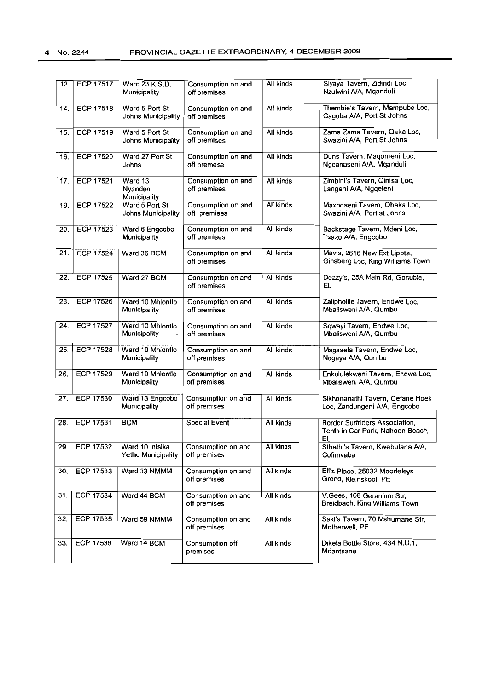| 13. | <b>ECP 17517</b> | Ward 23 K.S.D.<br>Municipality        | Consumption on and<br>off premises | All kinds | Siyaya Tavern, Zidindi Loc,<br>Nzulwini A/A, Mganduli                    |
|-----|------------------|---------------------------------------|------------------------------------|-----------|--------------------------------------------------------------------------|
| 14. | <b>ECP 17518</b> | Ward 5 Port St<br>Johns Municipality  | Consumption on and<br>off premises | All kinds | Thembie's Tavern, Mampube Loc,<br>Caguba A/A, Port St Johns              |
| 15. | <b>ECP 17519</b> | Ward 5 Port St<br>Johns Municipality  | Consumption on and<br>off premises | All kinds | Zama Zama Tavern, Qaka Loc,<br>Swazini A/A, Port St Johns                |
| 16. | <b>ECP 17520</b> | Ward 27 Port St<br>Johns              | Consumption on and<br>off premese  | All kinds | Duns Tavern, Magomeni Loc,<br>Ngcanaseni A/A, Mqanduli                   |
| 17. | <b>ECP 17521</b> | Ward 13<br>Nyandeni<br>Municipality   | Consumption on and<br>off premises | All kinds | Zimbini's Tavern, Qinisa Loc,<br>Langeni A/A, Ngqeleni                   |
| 19. | <b>ECP 17522</b> | Ward 5 Port St<br>Johns Municipality  | Consumption on and<br>off premises | All kinds | Maxhoseni Tavern, Qhaka Loc,<br>Swazini A/A, Port st Johns               |
| 20. | <b>ECP 17523</b> | Ward 6 Engcobo<br>Municipality        | Consumption on and<br>off premises | All kinds | Backstage Tavern, Mdeni Loc,<br>Tsazo A/A, Engcobo                       |
| 21. | <b>ECP 17524</b> | Ward 36 BCM                           | Consumption on and<br>off premises | All kinds | Mavis, 2616 New Ext Lipota,<br>Ginsberg Loc, King Williams Town          |
| 22. | <b>ECP 17525</b> | Ward 27 BCM                           | Consumption on and<br>off premises | All kinds | Dezzy's, 25A Main Rd, Gonubie,<br>EL                                     |
| 23. | <b>ECP 17526</b> | Ward 10 Mhlontlo<br>Municipality      | Consumption on and<br>off premises | All kinds | Zalipholile Tavern, Endwe Loc,<br>Mbalisweni A/A, Qumbu                  |
| 24. | <b>ECP 17527</b> | Ward 10 Mhlontio<br>Municipality      | Consumption on and<br>off premises | All kinds | Sqwayi Tavern, Endwe Loc,<br>Mbalisweni A/A, Qumbu                       |
| 25. | ECP 17528        | Ward 10 Mhiontlo<br>Municipality      | Consumption on and<br>off premises | All kinds | Magasela Tavern, Endwe Loc,<br>Nogaya A/A, Qumbu                         |
| 26. | <b>ECP 17529</b> | Ward 10 Mhlontlo<br>Municipality      | Consumption on and<br>off premises | All kinds | Enkululekweni Tavern, Endwe Loc,<br>Mbalisweni A/A, Qumbu                |
| 27. | <b>ECP 17530</b> | Ward 13 Engcobo<br>Municipality       | Consumption on and<br>off premises | All kinds | Sikhonanathi Tavern, Cefane Hoek<br>Loc, Zandungeni A/A, Engcobo         |
| 28. | ECP 17531        | <b>BCM</b>                            | <b>Special Event</b>               | All kinds | Border Surfriders Association,<br>Tents in Car Park, Nahoon Beach,<br>EL |
| 29. | ECP 17532        | Ward 10 Intsika<br>Yethu Municipality | Consumption on and<br>off premises | All kinds | Sthethi's Tavern, Kwebulana A/A,<br>Cofimvaba                            |
| 30. | ECP 17533        | Ward 33 NMMM                          | Consumption on and<br>off premises | All kinds | Ell's Place, 25032 Moodeleys<br>Grond, Kleinskool, PE                    |
| 31. | <b>ECP 17534</b> | Ward 44 BCM                           | Consumption on and<br>off premises | All kinds | V.Gees, 108 Geranium Str,<br>Breidbach, King Williams Town               |
| 32. | ECP 17535        | Ward 59 NMMM                          | Consumption on and<br>off premises | All kinds | Saki's Tavern, 70 Mshumane Str,<br>Motherwell, PE                        |
| 33. | ECP 17536        | Ward 14 BCM                           | Consumption off<br>premises        | All kinds | Dikela Bottle Store, 434 N.U.1,<br>Mdantsane                             |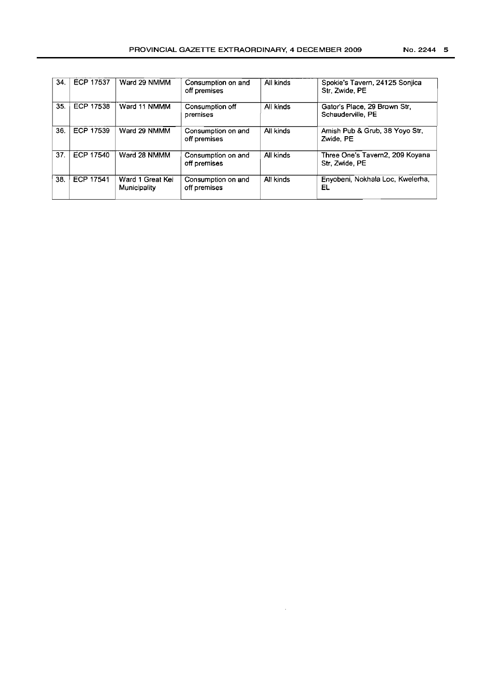| 34. | <b>ECP 17537</b> | Ward 29 NMMM                     | Consumption on and<br>off premises | All kinds | Spokie's Tavern, 24125 Sonjica<br>Str. Zwide, PE  |
|-----|------------------|----------------------------------|------------------------------------|-----------|---------------------------------------------------|
| 35. | ECP 17538        | Ward 11 NMMM                     | Consumption off<br>premises        | All kinds | Gator's Place, 29 Brown Str.<br>Schauderville, PE |
| 36. | ECP 17539        | Ward 29 NMMM                     | Consumption on and<br>off premises | All kinds | Amish Pub & Grub, 38 Yoyo Str,<br>Zwide, PE       |
| 37. | ECP 17540        | Ward 28 NMMM                     | Consumption on and<br>off premises | All kinds | Three One's Tavern2, 209 Koyana<br>Str. Zwide, PE |
| 38. | ECP 17541        | Ward 1 Great Kei<br>Municipality | Consumption on and<br>off premises | All kinds | Enyobeni, Nokhala Loc, Kwelerha,<br>EL            |

 $\sim$